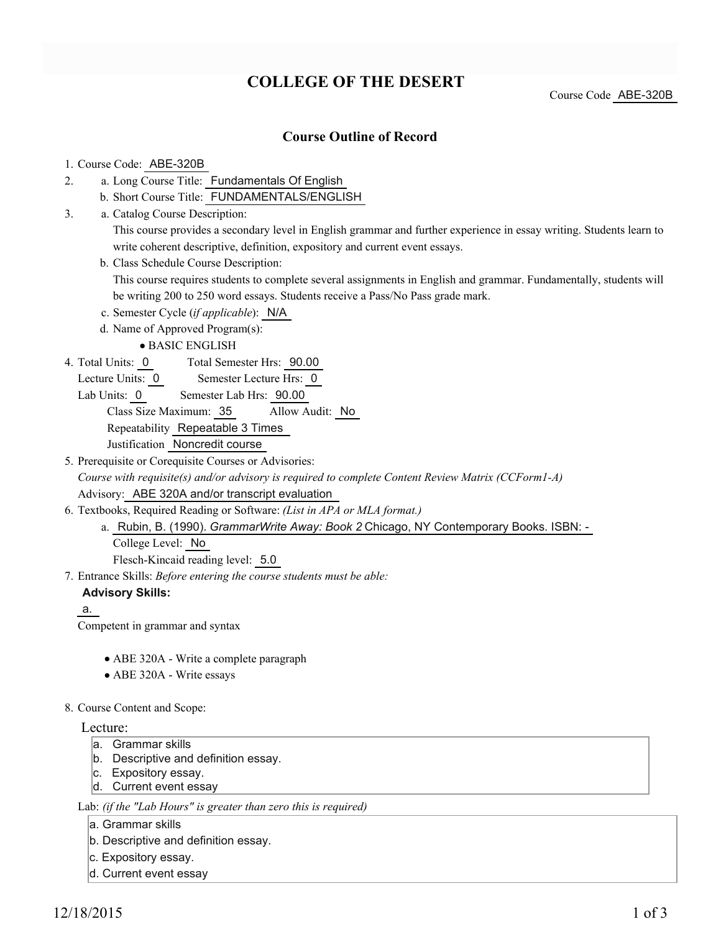# **COLLEGE OF THE DESERT**

Course Code ABE-320B

## **Course Outline of Record**

## 1. Course Code: ABE-320B

- a. Long Course Title: Fundamentals Of English 2.
	- b. Short Course Title: FUNDAMENTALS/ENGLISH
- Catalog Course Description: a. 3.

This course provides a secondary level in English grammar and further experience in essay writing. Students learn to write coherent descriptive, definition, expository and current event essays.

b. Class Schedule Course Description:

This course requires students to complete several assignments in English and grammar. Fundamentally, students will be writing 200 to 250 word essays. Students receive a Pass/No Pass grade mark.

- c. Semester Cycle (*if applicable*): N/A
- d. Name of Approved Program(s):

BASIC ENGLISH

- Total Semester Hrs: 90.00 4. Total Units: 0
	- Lecture Units: 0 Semester Lecture Hrs: 0

Lab Units: 0 Semester Lab Hrs: 90.00

Class Size Maximum: 35 Allow Audit: No Repeatability Repeatable 3 Times

Justification Noncredit course

5. Prerequisite or Corequisite Courses or Advisories: *Course with requisite(s) and/or advisory is required to complete Content Review Matrix (CCForm1-A)* Advisory: ABE 320A and/or transcript evaluation

- Textbooks, Required Reading or Software: *(List in APA or MLA format.)* 6.
	- a. Rubin, B. (1990). *GrammarWrite Away: Book 2* Chicago, NY Contemporary Books. ISBN: -College Level: No

Flesch-Kincaid reading level: 5.0

Entrance Skills: *Before entering the course students must be able:* 7.

## **Advisory Skills:**

a.

Competent in grammar and syntax

- ABE 320A Write a complete paragraph
- ABE 320A Write essays

#### 8. Course Content and Scope:

#### Lecture:

- a. Grammar skills
- b. Descriptive and definition essay.
- c. Expository essay.
- d. Current event essay

Lab: *(if the "Lab Hours" is greater than zero this is required)*

a. Grammar skills

b. Descriptive and definition essay.

- c. Expository essay.
- d. Current event essay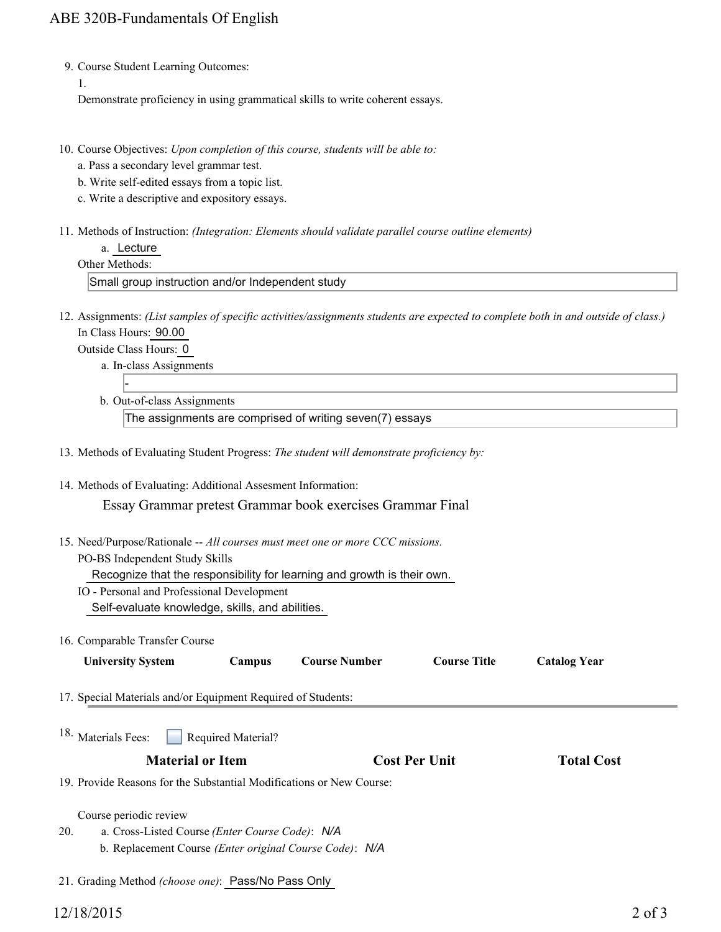9. Course Student Learning Outcomes:

1.

Demonstrate proficiency in using grammatical skills to write coherent essays.

- 10. Course Objectives: Upon completion of this course, students will be able to:
	- a. Pass a secondary level grammar test.
	- b. Write self-edited essays from a topic list.
	- c. Write a descriptive and expository essays.
- Methods of Instruction: *(Integration: Elements should validate parallel course outline elements)* 11.
	- a. Lecture
	- Other Methods:

Small group instruction and/or Independent study

12. Assignments: (List samples of specific activities/assignments students are expected to complete both in and outside of class.) In Class Hours: 90.00

Outside Class Hours: 0

-

- a. In-class Assignments
- b. Out-of-class Assignments

The assignments are comprised of writing seven(7) essays

- 13. Methods of Evaluating Student Progress: *The student will demonstrate proficiency by:*
- 14. Methods of Evaluating: Additional Assesment Information: Essay Grammar pretest Grammar book exercises Grammar Final
- 15. Need/Purpose/Rationale -- All courses must meet one or more CCC missions. PO-BS Independent Study Skills

Recognize that the responsibility for learning and growth is their own.

- IO Personal and Professional Development Self-evaluate knowledge, skills, and abilities.
- 16. Comparable Transfer Course

| <b>University System</b> | Campus | <b>Course Number</b> | <b>Course Title</b> | <b>Catalog Year</b> |
|--------------------------|--------|----------------------|---------------------|---------------------|
|--------------------------|--------|----------------------|---------------------|---------------------|

- 17. Special Materials and/or Equipment Required of Students:
- Required Material? <sup>18.</sup> Materials Fees:

## **Material or Item Cost Per Unit Total Cost Per Unit Total Cost**

19. Provide Reasons for the Substantial Modifications or New Course:

Course periodic review

- a. Cross-Listed Course *(Enter Course Code)*: *N/A* b. Replacement Course *(Enter original Course Code)*: *N/A* 20.
- 21. Grading Method *(choose one)*: Pass/No Pass Only